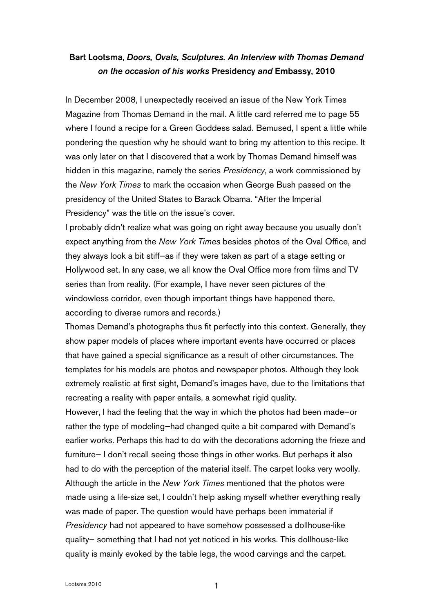## Bart Lootsma, *Doors, Ovals, Sculptures. An Interview with Thomas Demand on the occasion of his works* Presidency *and* Embassy, 2010

In December 2008, I unexpectedly received an issue of the New York Times Magazine from Thomas Demand in the mail. A little card referred me to page 55 where I found a recipe for a Green Goddess salad. Bemused, I spent a little while pondering the question why he should want to bring my attention to this recipe. It was only later on that I discovered that a work by Thomas Demand himself was hidden in this magazine, namely the series *Presidency*, a work commissioned by the *New York Times* to mark the occasion when George Bush passed on the presidency of the United States to Barack Obama. "After the Imperial Presidency" was the title on the issue's cover.

I probably didn't realize what was going on right away because you usually don't expect anything from the *New York Times* besides photos of the Oval Office, and they always look a bit stiff—as if they were taken as part of a stage setting or Hollywood set. In any case, we all know the Oval Office more from films and TV series than from reality. (For example, I have never seen pictures of the windowless corridor, even though important things have happened there, according to diverse rumors and records.)

Thomas Demand's photographs thus fit perfectly into this context. Generally, they show paper models of places where important events have occurred or places that have gained a special significance as a result of other circumstances. The templates for his models are photos and newspaper photos. Although they look extremely realistic at first sight, Demand's images have, due to the limitations that recreating a reality with paper entails, a somewhat rigid quality.

However, I had the feeling that the way in which the photos had been made—or rather the type of modeling—had changed quite a bit compared with Demand's earlier works. Perhaps this had to do with the decorations adorning the frieze and furniture— I don't recall seeing those things in other works. But perhaps it also had to do with the perception of the material itself. The carpet looks very woolly. Although the article in the *New York Times* mentioned that the photos were made using a life-size set, I couldn't help asking myself whether everything really was made of paper. The question would have perhaps been immaterial if *Presidency* had not appeared to have somehow possessed a dollhouse-like quality— something that I had not yet noticed in his works. This dollhouse-like quality is mainly evoked by the table legs, the wood carvings and the carpet.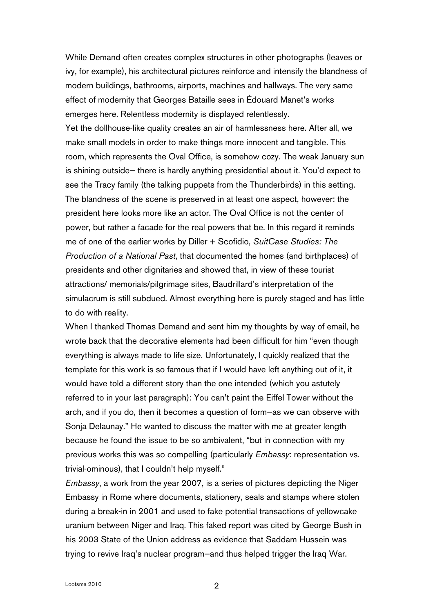While Demand often creates complex structures in other photographs (leaves or ivy, for example), his architectural pictures reinforce and intensify the blandness of modern buildings, bathrooms, airports, machines and hallways. The very same effect of modernity that Georges Bataille sees in Édouard Manet's works emerges here. Relentless modernity is displayed relentlessly.

Yet the dollhouse-like quality creates an air of harmlessness here. After all, we make small models in order to make things more innocent and tangible. This room, which represents the Oval Office, is somehow cozy. The weak January sun is shining outside— there is hardly anything presidential about it. You'd expect to see the Tracy family (the talking puppets from the Thunderbirds) in this setting. The blandness of the scene is preserved in at least one aspect, however: the president here looks more like an actor. The Oval Office is not the center of power, but rather a facade for the real powers that be. In this regard it reminds me of one of the earlier works by Diller + Scofidio, *SuitCase Studies: The Production of a National Past*, that documented the homes (and birthplaces) of presidents and other dignitaries and showed that, in view of these tourist attractions/ memorials/pilgrimage sites, Baudrillard's interpretation of the simulacrum is still subdued. Almost everything here is purely staged and has little to do with reality.

When I thanked Thomas Demand and sent him my thoughts by way of email, he wrote back that the decorative elements had been difficult for him "even though everything is always made to life size. Unfortunately, I quickly realized that the template for this work is so famous that if I would have left anything out of it, it would have told a different story than the one intended (which you astutely referred to in your last paragraph): You can't paint the Eiffel Tower without the arch, and if you do, then it becomes a question of form—as we can observe with Sonja Delaunay." He wanted to discuss the matter with me at greater length because he found the issue to be so ambivalent, "but in connection with my previous works this was so compelling (particularly *Embassy*: representation vs. trivial-ominous), that I couldn't help myself."

*Embassy*, a work from the year 2007, is a series of pictures depicting the Niger Embassy in Rome where documents, stationery, seals and stamps where stolen during a break-in in 2001 and used to fake potential transactions of yellowcake uranium between Niger and Iraq. This faked report was cited by George Bush in his 2003 State of the Union address as evidence that Saddam Hussein was trying to revive Iraq's nuclear program—and thus helped trigger the Iraq War.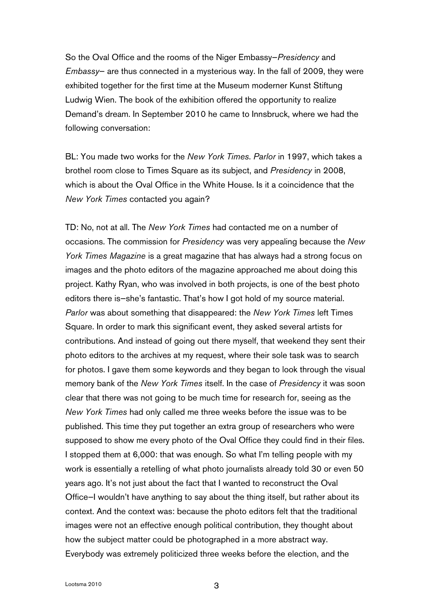So the Oval Office and the rooms of the Niger Embassy—*Presidency* and *Embassy*— are thus connected in a mysterious way. In the fall of 2009, they were exhibited together for the first time at the Museum moderner Kunst Stiftung Ludwig Wien. The book of the exhibition offered the opportunity to realize Demand's dream. In September 2010 he came to Innsbruck, where we had the following conversation:

BL: You made two works for the *New York Times*. *Parlor* in 1997, which takes a brothel room close to Times Square as its subject, and *Presidency* in 2008, which is about the Oval Office in the White House. Is it a coincidence that the *New York Times* contacted you again?

TD: No, not at all. The *New York Times* had contacted me on a number of occasions. The commission for *Presidency* was very appealing because the *New York Times Magazine* is a great magazine that has always had a strong focus on images and the photo editors of the magazine approached me about doing this project. Kathy Ryan, who was involved in both projects, is one of the best photo editors there is—she's fantastic. That's how I got hold of my source material. *Parlor* was about something that disappeared: the *New York Times* left Times Square. In order to mark this significant event, they asked several artists for contributions. And instead of going out there myself, that weekend they sent their photo editors to the archives at my request, where their sole task was to search for photos. I gave them some keywords and they began to look through the visual memory bank of the *New York Times* itself. In the case of *Presidency* it was soon clear that there was not going to be much time for research for, seeing as the *New York Times* had only called me three weeks before the issue was to be published. This time they put together an extra group of researchers who were supposed to show me every photo of the Oval Office they could find in their files. I stopped them at 6,000: that was enough. So what I'm telling people with my work is essentially a retelling of what photo journalists already told 30 or even 50 years ago. It's not just about the fact that I wanted to reconstruct the Oval Office—I wouldn't have anything to say about the thing itself, but rather about its context. And the context was: because the photo editors felt that the traditional images were not an effective enough political contribution, they thought about how the subject matter could be photographed in a more abstract way. Everybody was extremely politicized three weeks before the election, and the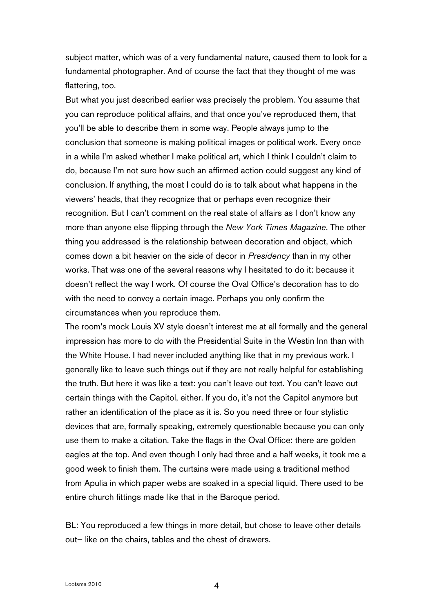subject matter, which was of a very fundamental nature, caused them to look for a fundamental photographer. And of course the fact that they thought of me was flattering, too.

But what you just described earlier was precisely the problem. You assume that you can reproduce political affairs, and that once you've reproduced them, that you'll be able to describe them in some way. People always jump to the conclusion that someone is making political images or political work. Every once in a while I'm asked whether I make political art, which I think I couldn't claim to do, because I'm not sure how such an affirmed action could suggest any kind of conclusion. If anything, the most I could do is to talk about what happens in the viewers' heads, that they recognize that or perhaps even recognize their recognition. But I can't comment on the real state of affairs as I don't know any more than anyone else flipping through the *New York Times Magazine*. The other thing you addressed is the relationship between decoration and object, which comes down a bit heavier on the side of decor in *Presidency* than in my other works. That was one of the several reasons why I hesitated to do it: because it doesn't reflect the way I work. Of course the Oval Office's decoration has to do with the need to convey a certain image. Perhaps you only confirm the circumstances when you reproduce them.

The room's mock Louis XV style doesn't interest me at all formally and the general impression has more to do with the Presidential Suite in the Westin Inn than with the White House. I had never included anything like that in my previous work. I generally like to leave such things out if they are not really helpful for establishing the truth. But here it was like a text: you can't leave out text. You can't leave out certain things with the Capitol, either. If you do, it's not the Capitol anymore but rather an identification of the place as it is. So you need three or four stylistic devices that are, formally speaking, extremely questionable because you can only use them to make a citation. Take the flags in the Oval Office: there are golden eagles at the top. And even though I only had three and a half weeks, it took me a good week to finish them. The curtains were made using a traditional method from Apulia in which paper webs are soaked in a special liquid. There used to be entire church fittings made like that in the Baroque period.

BL: You reproduced a few things in more detail, but chose to leave other details out— like on the chairs, tables and the chest of drawers.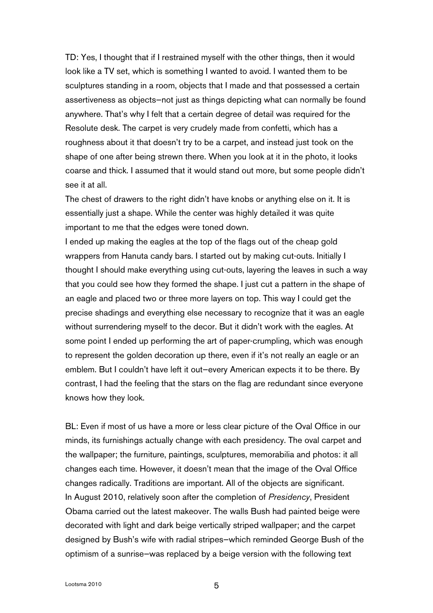TD: Yes, I thought that if I restrained myself with the other things, then it would look like a TV set, which is something I wanted to avoid. I wanted them to be sculptures standing in a room, objects that I made and that possessed a certain assertiveness as objects—not just as things depicting what can normally be found anywhere. That's why I felt that a certain degree of detail was required for the Resolute desk. The carpet is very crudely made from confetti, which has a roughness about it that doesn't try to be a carpet, and instead just took on the shape of one after being strewn there. When you look at it in the photo, it looks coarse and thick. I assumed that it would stand out more, but some people didn't see it at all.

The chest of drawers to the right didn't have knobs or anything else on it. It is essentially just a shape. While the center was highly detailed it was quite important to me that the edges were toned down.

I ended up making the eagles at the top of the flags out of the cheap gold wrappers from Hanuta candy bars. I started out by making cut-outs. Initially I thought I should make everything using cut-outs, layering the leaves in such a way that you could see how they formed the shape. I just cut a pattern in the shape of an eagle and placed two or three more layers on top. This way I could get the precise shadings and everything else necessary to recognize that it was an eagle without surrendering myself to the decor. But it didn't work with the eagles. At some point I ended up performing the art of paper-crumpling, which was enough to represent the golden decoration up there, even if it's not really an eagle or an emblem. But I couldn't have left it out—every American expects it to be there. By contrast, I had the feeling that the stars on the flag are redundant since everyone knows how they look.

BL: Even if most of us have a more or less clear picture of the Oval Office in our minds, its furnishings actually change with each presidency. The oval carpet and the wallpaper; the furniture, paintings, sculptures, memorabilia and photos: it all changes each time. However, it doesn't mean that the image of the Oval Office changes radically. Traditions are important. All of the objects are significant. In August 2010, relatively soon after the completion of *Presidency*, President Obama carried out the latest makeover. The walls Bush had painted beige were decorated with light and dark beige vertically striped wallpaper; and the carpet designed by Bush's wife with radial stripes—which reminded George Bush of the optimism of a sunrise—was replaced by a beige version with the following text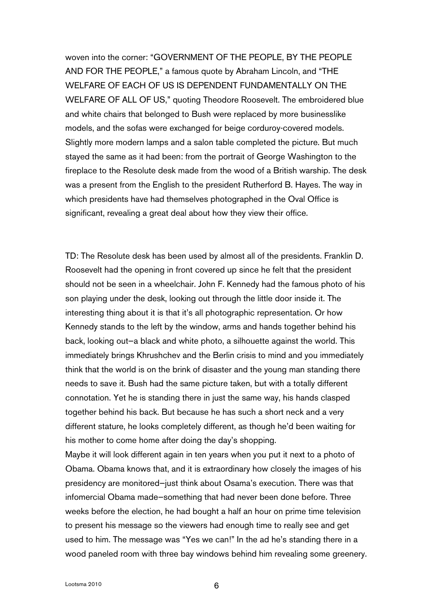woven into the corner: "GOVERNMENT OF THE PEOPLE, BY THE PEOPLE AND FOR THE PEOPLE," a famous quote by Abraham Lincoln, and "THE WELFARE OF EACH OF US IS DEPENDENT FUNDAMENTALLY ON THE WELFARE OF ALL OF US," quoting Theodore Roosevelt. The embroidered blue and white chairs that belonged to Bush were replaced by more businesslike models, and the sofas were exchanged for beige corduroy-covered models. Slightly more modern lamps and a salon table completed the picture. But much stayed the same as it had been: from the portrait of George Washington to the fireplace to the Resolute desk made from the wood of a British warship. The desk was a present from the English to the president Rutherford B. Hayes. The way in which presidents have had themselves photographed in the Oval Office is significant, revealing a great deal about how they view their office.

TD: The Resolute desk has been used by almost all of the presidents. Franklin D. Roosevelt had the opening in front covered up since he felt that the president should not be seen in a wheelchair. John F. Kennedy had the famous photo of his son playing under the desk, looking out through the little door inside it. The interesting thing about it is that it's all photographic representation. Or how Kennedy stands to the left by the window, arms and hands together behind his back, looking out—a black and white photo, a silhouette against the world. This immediately brings Khrushchev and the Berlin crisis to mind and you immediately think that the world is on the brink of disaster and the young man standing there needs to save it. Bush had the same picture taken, but with a totally different connotation. Yet he is standing there in just the same way, his hands clasped together behind his back. But because he has such a short neck and a very different stature, he looks completely different, as though he'd been waiting for his mother to come home after doing the day's shopping.

Maybe it will look different again in ten years when you put it next to a photo of Obama. Obama knows that, and it is extraordinary how closely the images of his presidency are monitored—just think about Osama's execution. There was that infomercial Obama made—something that had never been done before. Three weeks before the election, he had bought a half an hour on prime time television to present his message so the viewers had enough time to really see and get used to him. The message was "Yes we can!" In the ad he's standing there in a wood paneled room with three bay windows behind him revealing some greenery.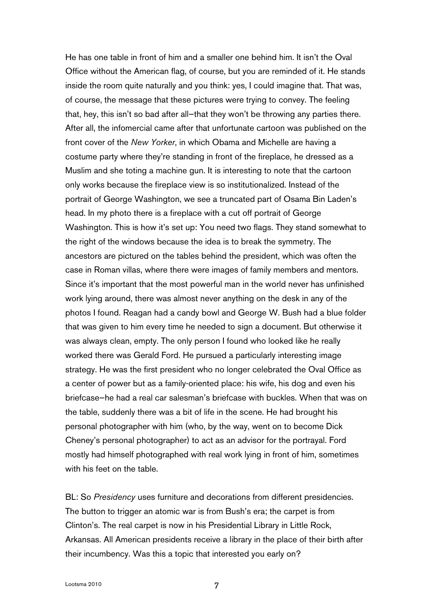He has one table in front of him and a smaller one behind him. It isn't the Oval Office without the American flag, of course, but you are reminded of it. He stands inside the room quite naturally and you think: yes, I could imagine that. That was, of course, the message that these pictures were trying to convey. The feeling that, hey, this isn't so bad after all—that they won't be throwing any parties there. After all, the infomercial came after that unfortunate cartoon was published on the front cover of the *New Yorker*, in which Obama and Michelle are having a costume party where they're standing in front of the fireplace, he dressed as a Muslim and she toting a machine gun. It is interesting to note that the cartoon only works because the fireplace view is so institutionalized. Instead of the portrait of George Washington, we see a truncated part of Osama Bin Laden's head. In my photo there is a fireplace with a cut off portrait of George Washington. This is how it's set up: You need two flags. They stand somewhat to the right of the windows because the idea is to break the symmetry. The ancestors are pictured on the tables behind the president, which was often the case in Roman villas, where there were images of family members and mentors. Since it's important that the most powerful man in the world never has unfinished work lying around, there was almost never anything on the desk in any of the photos I found. Reagan had a candy bowl and George W. Bush had a blue folder that was given to him every time he needed to sign a document. But otherwise it was always clean, empty. The only person I found who looked like he really worked there was Gerald Ford. He pursued a particularly interesting image strategy. He was the first president who no longer celebrated the Oval Office as a center of power but as a family-oriented place: his wife, his dog and even his briefcase—he had a real car salesman's briefcase with buckles. When that was on the table, suddenly there was a bit of life in the scene. He had brought his personal photographer with him (who, by the way, went on to become Dick Cheney's personal photographer) to act as an advisor for the portrayal. Ford mostly had himself photographed with real work lying in front of him, sometimes with his feet on the table.

BL: So *Presidency* uses furniture and decorations from different presidencies. The button to trigger an atomic war is from Bush's era; the carpet is from Clinton's. The real carpet is now in his Presidential Library in Little Rock, Arkansas. All American presidents receive a library in the place of their birth after their incumbency. Was this a topic that interested you early on?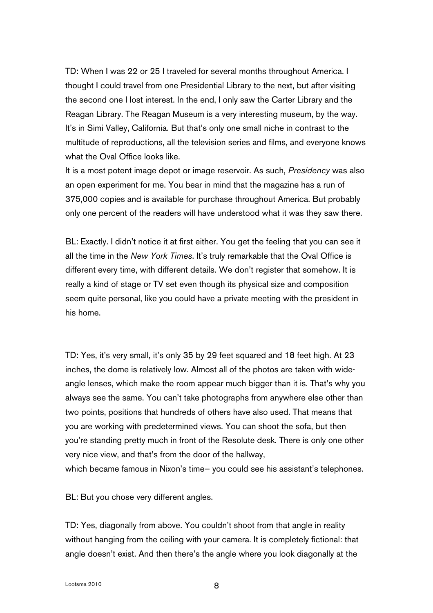TD: When I was 22 or 25 I traveled for several months throughout America. I thought I could travel from one Presidential Library to the next, but after visiting the second one I lost interest. In the end, I only saw the Carter Library and the Reagan Library. The Reagan Museum is a very interesting museum, by the way. It's in Simi Valley, California. But that's only one small niche in contrast to the multitude of reproductions, all the television series and films, and everyone knows what the Oval Office looks like.

It is a most potent image depot or image reservoir. As such, *Presidency* was also an open experiment for me. You bear in mind that the magazine has a run of 375,000 copies and is available for purchase throughout America. But probably only one percent of the readers will have understood what it was they saw there.

BL: Exactly. I didn't notice it at first either. You get the feeling that you can see it all the time in the *New York Times*. It's truly remarkable that the Oval Office is different every time, with different details. We don't register that somehow. It is really a kind of stage or TV set even though its physical size and composition seem quite personal, like you could have a private meeting with the president in his home.

TD: Yes, it's very small, it's only 35 by 29 feet squared and 18 feet high. At 23 inches, the dome is relatively low. Almost all of the photos are taken with wideangle lenses, which make the room appear much bigger than it is. That's why you always see the same. You can't take photographs from anywhere else other than two points, positions that hundreds of others have also used. That means that you are working with predetermined views. You can shoot the sofa, but then you're standing pretty much in front of the Resolute desk. There is only one other very nice view, and that's from the door of the hallway, which became famous in Nixon's time— you could see his assistant's telephones.

BL: But you chose very different angles.

TD: Yes, diagonally from above. You couldn't shoot from that angle in reality without hanging from the ceiling with your camera. It is completely fictional: that angle doesn't exist. And then there's the angle where you look diagonally at the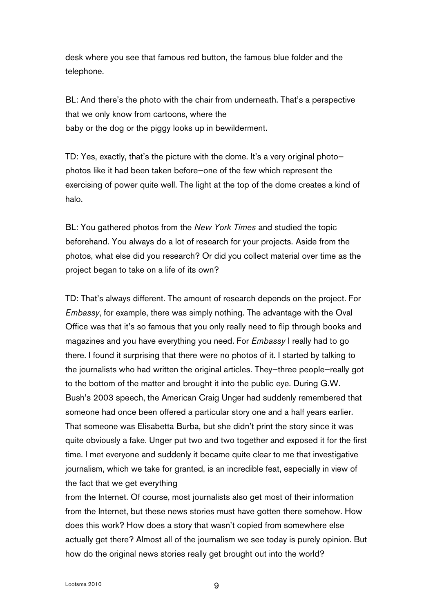desk where you see that famous red button, the famous blue folder and the telephone.

BL: And there's the photo with the chair from underneath. That's a perspective that we only know from cartoons, where the baby or the dog or the piggy looks up in bewilderment.

TD: Yes, exactly, that's the picture with the dome. It's a very original photo photos like it had been taken before—one of the few which represent the exercising of power quite well. The light at the top of the dome creates a kind of halo.

BL: You gathered photos from the *New York Times* and studied the topic beforehand. You always do a lot of research for your projects. Aside from the photos, what else did you research? Or did you collect material over time as the project began to take on a life of its own?

TD: That's always different. The amount of research depends on the project. For *Embassy*, for example, there was simply nothing. The advantage with the Oval Office was that it's so famous that you only really need to flip through books and magazines and you have everything you need. For *Embassy* I really had to go there. I found it surprising that there were no photos of it. I started by talking to the journalists who had written the original articles. They—three people—really got to the bottom of the matter and brought it into the public eye. During G.W. Bush's 2003 speech, the American Craig Unger had suddenly remembered that someone had once been offered a particular story one and a half years earlier. That someone was Elisabetta Burba, but she didn't print the story since it was quite obviously a fake. Unger put two and two together and exposed it for the first time. I met everyone and suddenly it became quite clear to me that investigative journalism, which we take for granted, is an incredible feat, especially in view of the fact that we get everything

from the Internet. Of course, most journalists also get most of their information from the Internet, but these news stories must have gotten there somehow. How does this work? How does a story that wasn't copied from somewhere else actually get there? Almost all of the journalism we see today is purely opinion. But how do the original news stories really get brought out into the world?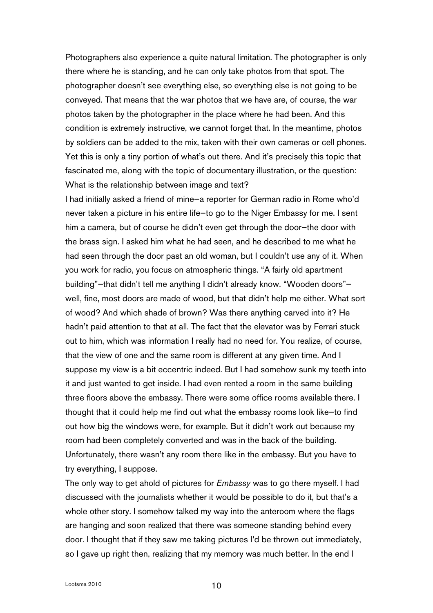Photographers also experience a quite natural limitation. The photographer is only there where he is standing, and he can only take photos from that spot. The photographer doesn't see everything else, so everything else is not going to be conveyed. That means that the war photos that we have are, of course, the war photos taken by the photographer in the place where he had been. And this condition is extremely instructive, we cannot forget that. In the meantime, photos by soldiers can be added to the mix, taken with their own cameras or cell phones. Yet this is only a tiny portion of what's out there. And it's precisely this topic that fascinated me, along with the topic of documentary illustration, or the question: What is the relationship between image and text?

I had initially asked a friend of mine—a reporter for German radio in Rome who'd never taken a picture in his entire life—to go to the Niger Embassy for me. I sent him a camera, but of course he didn't even get through the door—the door with the brass sign. I asked him what he had seen, and he described to me what he had seen through the door past an old woman, but I couldn't use any of it. When you work for radio, you focus on atmospheric things. "A fairly old apartment building"—that didn't tell me anything I didn't already know. "Wooden doors" well, fine, most doors are made of wood, but that didn't help me either. What sort of wood? And which shade of brown? Was there anything carved into it? He hadn't paid attention to that at all. The fact that the elevator was by Ferrari stuck out to him, which was information I really had no need for. You realize, of course, that the view of one and the same room is different at any given time. And I suppose my view is a bit eccentric indeed. But I had somehow sunk my teeth into it and just wanted to get inside. I had even rented a room in the same building three floors above the embassy. There were some office rooms available there. I thought that it could help me find out what the embassy rooms look like—to find out how big the windows were, for example. But it didn't work out because my room had been completely converted and was in the back of the building. Unfortunately, there wasn't any room there like in the embassy. But you have to try everything, I suppose.

The only way to get ahold of pictures for *Embassy* was to go there myself. I had discussed with the journalists whether it would be possible to do it, but that's a whole other story. I somehow talked my way into the anteroom where the flags are hanging and soon realized that there was someone standing behind every door. I thought that if they saw me taking pictures I'd be thrown out immediately, so I gave up right then, realizing that my memory was much better. In the end I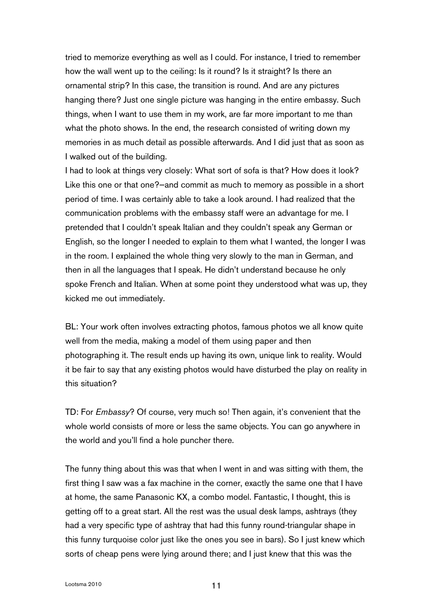tried to memorize everything as well as I could. For instance, I tried to remember how the wall went up to the ceiling: Is it round? Is it straight? Is there an ornamental strip? In this case, the transition is round. And are any pictures hanging there? Just one single picture was hanging in the entire embassy. Such things, when I want to use them in my work, are far more important to me than what the photo shows. In the end, the research consisted of writing down my memories in as much detail as possible afterwards. And I did just that as soon as I walked out of the building.

I had to look at things very closely: What sort of sofa is that? How does it look? Like this one or that one?—and commit as much to memory as possible in a short period of time. I was certainly able to take a look around. I had realized that the communication problems with the embassy staff were an advantage for me. I pretended that I couldn't speak Italian and they couldn't speak any German or English, so the longer I needed to explain to them what I wanted, the longer I was in the room. I explained the whole thing very slowly to the man in German, and then in all the languages that I speak. He didn't understand because he only spoke French and Italian. When at some point they understood what was up, they kicked me out immediately.

BL: Your work often involves extracting photos, famous photos we all know quite well from the media, making a model of them using paper and then photographing it. The result ends up having its own, unique link to reality. Would it be fair to say that any existing photos would have disturbed the play on reality in this situation?

TD: For *Embassy*? Of course, very much so! Then again, it's convenient that the whole world consists of more or less the same objects. You can go anywhere in the world and you'll find a hole puncher there.

The funny thing about this was that when I went in and was sitting with them, the first thing I saw was a fax machine in the corner, exactly the same one that I have at home, the same Panasonic KX, a combo model. Fantastic, I thought, this is getting off to a great start. All the rest was the usual desk lamps, ashtrays (they had a very specific type of ashtray that had this funny round-triangular shape in this funny turquoise color just like the ones you see in bars). So I just knew which sorts of cheap pens were lying around there; and I just knew that this was the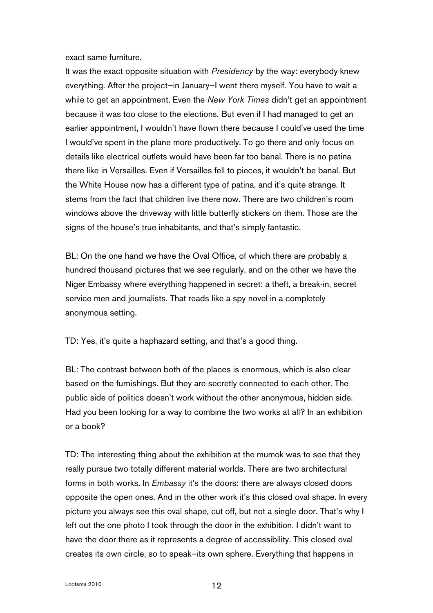exact same furniture.

It was the exact opposite situation with *Presidency* by the way: everybody knew everything. After the project—in January—I went there myself. You have to wait a while to get an appointment. Even the *New York Times* didn't get an appointment because it was too close to the elections. But even if I had managed to get an earlier appointment, I wouldn't have flown there because I could've used the time I would've spent in the plane more productively. To go there and only focus on details like electrical outlets would have been far too banal. There is no patina there like in Versailles. Even if Versailles fell to pieces, it wouldn't be banal. But the White House now has a different type of patina, and it's quite strange. It stems from the fact that children live there now. There are two children's room windows above the driveway with little butterfly stickers on them. Those are the signs of the house's true inhabitants, and that's simply fantastic.

BL: On the one hand we have the Oval Office, of which there are probably a hundred thousand pictures that we see regularly, and on the other we have the Niger Embassy where everything happened in secret: a theft, a break-in, secret service men and journalists. That reads like a spy novel in a completely anonymous setting.

TD: Yes, it's quite a haphazard setting, and that's a good thing.

BL: The contrast between both of the places is enormous, which is also clear based on the furnishings. But they are secretly connected to each other. The public side of politics doesn't work without the other anonymous, hidden side. Had you been looking for a way to combine the two works at all? In an exhibition or a book?

TD: The interesting thing about the exhibition at the mumok was to see that they really pursue two totally different material worlds. There are two architectural forms in both works. In *Embassy* it's the doors: there are always closed doors opposite the open ones. And in the other work it's this closed oval shape. In every picture you always see this oval shape, cut off, but not a single door. That's why I left out the one photo I took through the door in the exhibition. I didn't want to have the door there as it represents a degree of accessibility. This closed oval creates its own circle, so to speak—its own sphere. Everything that happens in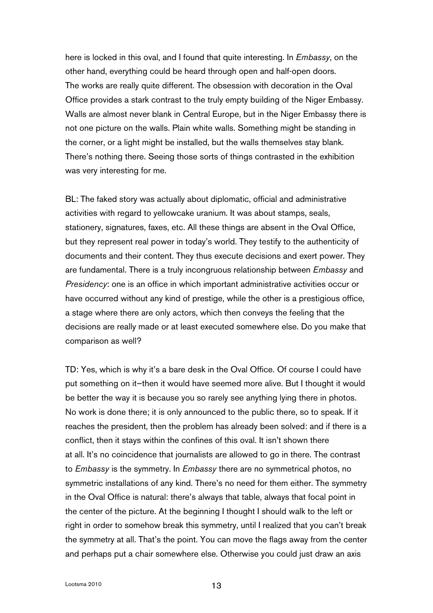here is locked in this oval, and I found that quite interesting. In *Embassy*, on the other hand, everything could be heard through open and half-open doors. The works are really quite different. The obsession with decoration in the Oval Office provides a stark contrast to the truly empty building of the Niger Embassy. Walls are almost never blank in Central Europe, but in the Niger Embassy there is not one picture on the walls. Plain white walls. Something might be standing in the corner, or a light might be installed, but the walls themselves stay blank. There's nothing there. Seeing those sorts of things contrasted in the exhibition was very interesting for me.

BL: The faked story was actually about diplomatic, official and administrative activities with regard to yellowcake uranium. It was about stamps, seals, stationery, signatures, faxes, etc. All these things are absent in the Oval Office, but they represent real power in today's world. They testify to the authenticity of documents and their content. They thus execute decisions and exert power. They are fundamental. There is a truly incongruous relationship between *Embassy* and *Presidency*: one is an office in which important administrative activities occur or have occurred without any kind of prestige, while the other is a prestigious office, a stage where there are only actors, which then conveys the feeling that the decisions are really made or at least executed somewhere else. Do you make that comparison as well?

TD: Yes, which is why it's a bare desk in the Oval Office. Of course I could have put something on it—then it would have seemed more alive. But I thought it would be better the way it is because you so rarely see anything lying there in photos. No work is done there; it is only announced to the public there, so to speak. If it reaches the president, then the problem has already been solved: and if there is a conflict, then it stays within the confines of this oval. It isn't shown there at all. It's no coincidence that journalists are allowed to go in there. The contrast to *Embassy* is the symmetry. In *Embassy* there are no symmetrical photos, no symmetric installations of any kind. There's no need for them either. The symmetry in the Oval Office is natural: there's always that table, always that focal point in the center of the picture. At the beginning I thought I should walk to the left or right in order to somehow break this symmetry, until I realized that you can't break the symmetry at all. That's the point. You can move the flags away from the center and perhaps put a chair somewhere else. Otherwise you could just draw an axis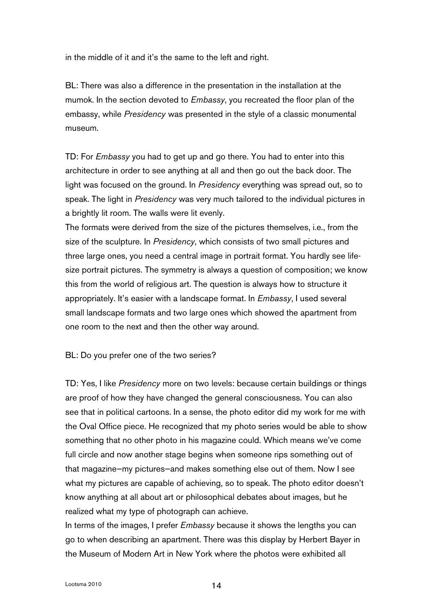in the middle of it and it's the same to the left and right.

BL: There was also a difference in the presentation in the installation at the mumok. In the section devoted to *Embassy*, you recreated the floor plan of the embassy, while *Presidency* was presented in the style of a classic monumental museum.

TD: For *Embassy* you had to get up and go there. You had to enter into this architecture in order to see anything at all and then go out the back door. The light was focused on the ground. In *Presidency* everything was spread out, so to speak. The light in *Presidency* was very much tailored to the individual pictures in a brightly lit room. The walls were lit evenly.

The formats were derived from the size of the pictures themselves, i.e., from the size of the sculpture. In *Presidency*, which consists of two small pictures and three large ones, you need a central image in portrait format. You hardly see lifesize portrait pictures. The symmetry is always a question of composition; we know this from the world of religious art. The question is always how to structure it appropriately. It's easier with a landscape format. In *Embassy*, I used several small landscape formats and two large ones which showed the apartment from one room to the next and then the other way around.

BL: Do you prefer one of the two series?

TD: Yes, I like *Presidency* more on two levels: because certain buildings or things are proof of how they have changed the general consciousness. You can also see that in political cartoons. In a sense, the photo editor did my work for me with the Oval Office piece. He recognized that my photo series would be able to show something that no other photo in his magazine could. Which means we've come full circle and now another stage begins when someone rips something out of that magazine—my pictures—and makes something else out of them. Now I see what my pictures are capable of achieving, so to speak. The photo editor doesn't know anything at all about art or philosophical debates about images, but he realized what my type of photograph can achieve.

In terms of the images, I prefer *Embassy* because it shows the lengths you can go to when describing an apartment. There was this display by Herbert Bayer in the Museum of Modern Art in New York where the photos were exhibited all